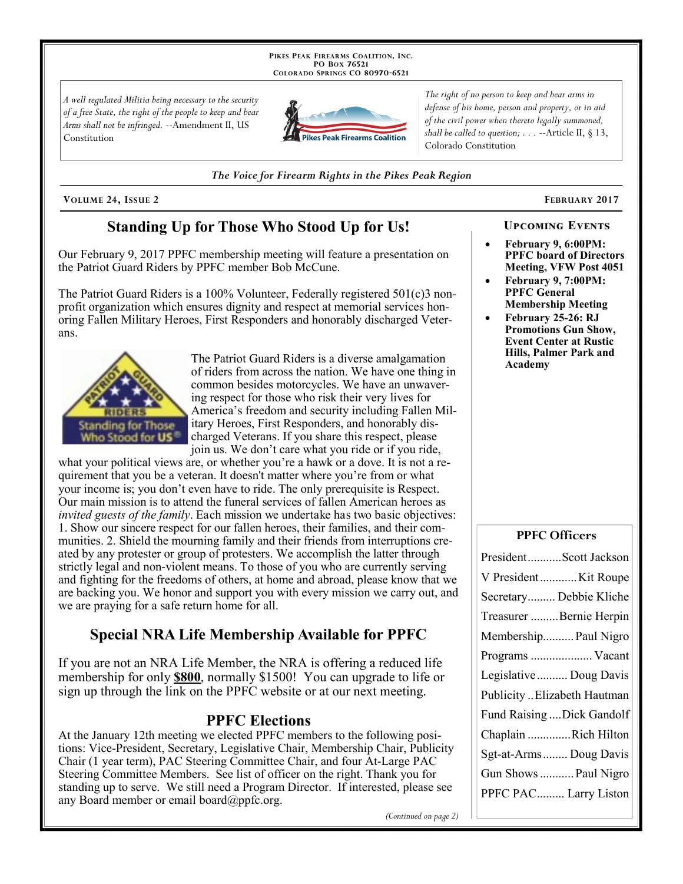PIKES PEAK FIREARMS COALITION, INC. PO Box 76521 COLORADO SPRINGS CO 80970-6521

A well regulated Militia being necessary to the security of a free State, the right of the people to keep and bear Arms shall not be infringed. --Amendment II, US Constitution



The right of no person to keep and bear arms in defense of his home, person and property, or in aid of the civil power when thereto legally summoned, shall be called to question;  $\ldots$  --Article II, § 13, Colorado Constitution

The Voice for Firearm Rights in the Pikes Peak Region

VOLUME 24, ISSUE 2

# **Standing Up for Those Who Stood Up for Us!**

Our February 9, 2017 PPFC membership meeting will feature a presentation on the Patriot Guard Riders by PPFC member Bob McCune.

The Patriot Guard Riders is a 100% Volunteer, Federally registered  $501(c)3$  nonprofit organization which ensures dignity and respect at memorial services honoring Fallen Military Heroes, First Responders and honorably discharged Veterans.



The Patriot Guard Riders is a diverse amalgamation of riders from across the nation. We have one thing in common besides motorcycles. We have an unwavering respect for those who risk their very lives for America's freedom and security including Fallen Military Heroes, First Responders, and honorably discharged Veterans. If you share this respect, please join us. We don't care what you ride or if you ride,

what your political views are, or whether you're a hawk or a dove. It is not a requirement that you be a veteran. It doesn't matter where you're from or what your income is; you don't even have to ride. The only prerequisite is Respect. Our main mission is to attend the funeral services of fallen American heroes as *invited guests of the family*. Each mission we undertake has two basic objectives: 1. Show our sincere respect for our fallen heroes, their families, and their communities. 2. Shield the mourning family and their friends from interruptions created by any protester or group of protesters. We accomplish the latter through strictly legal and non-violent means. To those of you who are currently serving and fighting for the freedoms of others, at home and abroad, please know that we are backing you. We honor and support you with every mission we carry out, and we are praying for a safe return home for all.

# **Special NRA Life Membership Available for PPFC**

If you are not an NRA Life Member, the NRA is offering a reduced life membership for only **\$800**, normally \$1500! You can upgrade to life or sign up through the link on the PPFC website or at our next meeting.

## **PPFC Elections**

At the January 12th meeting we elected PPFC members to the following positions: Vice-President, Secretary, Legislative Chair, Membership Chair, Publicity Chair (1 year term), PAC Steering Committee Chair, and four At-Large PAC Steering Committee Members. See list of officer on the right. Thank you for standing up to serve. We still need a Program Director. If interested, please see any Board member or email board $(\partial \rho)$ ppfc.org.

(Continued on page 2)

**FEBRUARY 2017** 

- **UPCOMING EVENTS** February 9, 6:00PM: **PPFC** board of Directors
- Meeting, VFW Post 4051 February 9, 7:00PM: **PPFC General**
- **Membership Meeting** February 25-26: RJ **Promotions Gun Show, Event Center at Rustic** Hills, Palmer Park and Academy

#### **PPFC Officers**